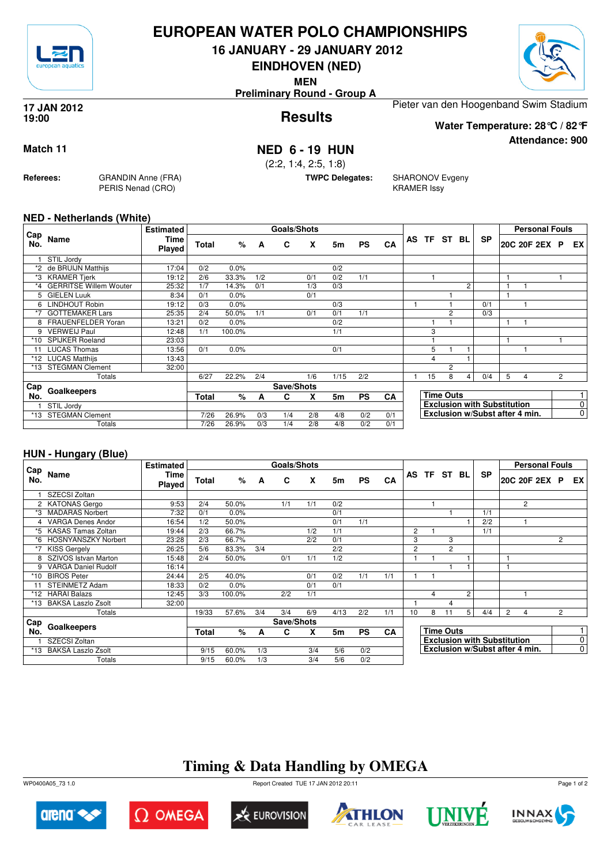

### **EUROPEAN WATER POLO CHAMPIONSHIPS**

**16 JANUARY - 29 JANUARY 2012**

**EINDHOVEN (NED)**

**MEN**

**Preliminary Round - Group A**



**Attendance: 900**

**Results 17 JAN 2012 19:00**

Pieter van den Hoogenband Swim Stadium

**Water Temperature: 28°C / 82°F**

**Match 11 NED 6 - 19 HUN**

(2:2, 1:4, 2:5, 1:8)

**TWPC Delegates:** SHARONOV Evgeny KRAMER Issy

#### **NED - Netherlands (White)**

**Referees:** GRANDIN Anne (FRA)

PERIS Nenad (CRO)

| Cap   |                               | <b>Estimated</b>      |              |        |     | <b>Goals/Shots</b> |     |      |           |     |             |                  |                |                                    |   | <b>Personal Fouls</b> |                |                         |
|-------|-------------------------------|-----------------------|--------------|--------|-----|--------------------|-----|------|-----------|-----|-------------|------------------|----------------|------------------------------------|---|-----------------------|----------------|-------------------------|
| No.   | Name                          | Time<br><b>Played</b> | Total        | %      | A   | C                  | X   | 5m   | <b>PS</b> | CA  | AS TF ST BL |                  |                | <b>SP</b>                          |   | 20C 20F 2EX           | P              | EX                      |
|       | STIL Jordy                    |                       |              |        |     |                    |     |      |           |     |             |                  |                |                                    |   |                       |                |                         |
|       | *2 de BRUIJN Matthijs         | 17:04                 | 0/2          | 0.0%   |     |                    |     | 0/2  |           |     |             |                  |                |                                    |   |                       |                |                         |
| *3    | <b>KRAMER Tjerk</b>           | 19:12                 | 2/6          | 33.3%  | 1/2 |                    | 0/1 | 0/2  | 1/1       |     |             |                  |                |                                    |   |                       |                |                         |
| *4    | <b>GERRITSE Willem Wouter</b> | 25:32                 | 1/7          | 14.3%  | 0/1 |                    | 1/3 | 0/3  |           |     |             |                  | $\overline{c}$ |                                    |   |                       |                |                         |
| 5     | <b>GIELEN Luuk</b>            | 8:34                  | 0/1          | 0.0%   |     |                    | 0/1 |      |           |     |             |                  |                |                                    |   |                       |                |                         |
| 6     | <b>LINDHOUT Robin</b>         | 19:12                 | 0/3          | 0.0%   |     |                    |     | 0/3  |           |     |             |                  |                | 0/1                                |   |                       |                |                         |
| *7    | <b>GOTTEMAKER Lars</b>        | 25:35                 | 2/4          | 50.0%  | 1/1 |                    | 0/1 | 0/1  | 1/1       |     |             | $\overline{2}$   |                | 0/3                                |   |                       |                |                         |
|       | FRAUENFELDER Yoran            | 13:21                 | 0/2          | 0.0%   |     |                    |     | 0/2  |           |     |             |                  |                |                                    |   |                       |                |                         |
| 9     | <b>VERWEIJ Paul</b>           | 12:48                 | 1/1          | 100.0% |     |                    |     | 1/1  |           |     | 3           |                  |                |                                    |   |                       |                |                         |
| $*10$ | <b>SPIJKER Roeland</b>        | 23:03                 |              |        |     |                    |     |      |           |     |             |                  |                |                                    |   |                       |                |                         |
| 11    | <b>LUCAS Thomas</b>           | 13:56                 | 0/1          | 0.0%   |     |                    |     | 0/1  |           |     | 5           |                  |                |                                    |   |                       |                |                         |
|       | *12 LUCAS Matthijs            | 13:43                 |              |        |     |                    |     |      |           |     | 4           |                  |                |                                    |   |                       |                |                         |
| $*13$ | <b>STEGMAN Clement</b>        | 32:00                 |              |        |     |                    |     |      |           |     |             | $\overline{2}$   |                |                                    |   |                       |                |                         |
|       | Totals                        |                       | 6/27         | 22.2%  | 2/4 |                    | 1/6 | 1/15 | 2/2       |     | 15          | 8                | 4 <sup>1</sup> | 0/4                                | 5 | 4                     | $\overline{2}$ |                         |
| Cap   | Goalkeepers                   |                       |              |        |     | Save/Shots         |     |      |           |     |             |                  |                |                                    |   |                       |                |                         |
| No.   |                               |                       | <b>Total</b> | %      | A   | С                  | X   | 5m   | <b>PS</b> | CA  |             | <b>Time Outs</b> |                |                                    |   |                       |                |                         |
|       | STIL Jordy                    |                       |              |        |     |                    |     |      |           |     |             |                  |                | <b>Exclusion with Substitution</b> |   |                       |                | 0                       |
| *13   | <b>STEGMAN Clement</b>        |                       | 7/26         | 26.9%  | 0/3 | 1/4                | 2/8 | 4/8  | 0/2       | 0/1 |             |                  |                | Exclusion w/Subst after 4 min.     |   |                       |                | $\overline{\textbf{0}}$ |
|       | Totals                        |                       | 7/26         | 26.9%  | 0/3 | 1/4                | 2/8 | 4/8  | 0/2       | 0/1 |             |                  |                |                                    |   |                       |                |                         |

#### **HUN - Hungary (Blue)**

|            |                            | <b>Estimated</b>      |       |        |     | Goals/Shots |     |      |           |           |                |             |                  |                |                                    |   | <b>Personal Fouls</b>          |                |                |
|------------|----------------------------|-----------------------|-------|--------|-----|-------------|-----|------|-----------|-----------|----------------|-------------|------------------|----------------|------------------------------------|---|--------------------------------|----------------|----------------|
| Cap<br>No. | Name                       | Time<br><b>Played</b> | Total | %      | A   | C           | X   | 5m   | <b>PS</b> | CA        |                | AS TF ST BL |                  |                | <b>SP</b>                          |   | 20C 20F 2EX P                  |                | EX I           |
|            | SZECSI Zoltan              |                       |       |        |     |             |     |      |           |           |                |             |                  |                |                                    |   |                                |                |                |
|            | 2 KATONAS Gergo            | 9:53                  | 2/4   | 50.0%  |     | 1/1         | 1/1 | 0/2  |           |           |                |             |                  |                |                                    |   | $\overline{2}$                 |                |                |
| *3         | <b>MADARAS Norbert</b>     | 7:32                  | 0/1   | 0.0%   |     |             |     | 0/1  |           |           |                |             |                  |                | 1/1                                |   |                                |                |                |
|            | <b>VARGA Denes Andor</b>   | 16:54                 | 1/2   | 50.0%  |     |             |     | 0/1  | 1/1       |           |                |             |                  |                | 2/2                                |   |                                |                |                |
| *5         | <b>KASAS Tamas Zoltan</b>  | 19:44                 | 2/3   | 66.7%  |     |             | 1/2 | 1/1  |           |           | $\overline{2}$ |             |                  |                | 1/1                                |   |                                |                |                |
| *6         | <b>HOSNYANSZKY Norbert</b> | 23:28                 | 2/3   | 66.7%  |     |             | 2/2 | 0/1  |           |           | 3              |             | 3                |                |                                    |   |                                | $\overline{2}$ |                |
|            | <b>KISS Gergely</b>        | 26:25                 | 5/6   | 83.3%  | 3/4 |             |     | 2/2  |           |           | $\overline{2}$ |             | $\overline{c}$   |                |                                    |   |                                |                |                |
|            | SZIVOS Istvan Marton       | 15:48                 | 2/4   | 50.0%  |     | 0/1         | 1/1 | 1/2  |           |           |                |             |                  |                |                                    | 1 |                                |                |                |
| 9          | <b>VARGA Daniel Rudolf</b> | 16:14                 |       |        |     |             |     |      |           |           |                |             |                  |                |                                    |   |                                |                |                |
| *10        | <b>BIROS Peter</b>         | 24:44                 | 2/5   | 40.0%  |     |             | 0/1 | 0/2  | 1/1       | 1/1       |                |             |                  |                |                                    |   |                                |                |                |
|            | <b>STEINMETZ Adam</b>      | 18:33                 | 0/2   | 0.0%   |     |             | 0/1 | 0/1  |           |           |                |             |                  |                |                                    |   |                                |                |                |
|            | *12 HARAI Balazs           | 12:45                 | 3/3   | 100.0% |     | 2/2         | 1/1 |      |           |           |                | 4           |                  | $\overline{2}$ |                                    |   |                                |                |                |
| *13        | <b>BAKSA Laszlo Zsolt</b>  | 32:00                 |       |        |     |             |     |      |           |           |                |             | 4                |                |                                    |   |                                |                |                |
|            | Totals                     |                       | 19/33 | 57.6%  | 3/4 | 3/4         | 6/9 | 4/13 | 2/2       | 1/1       | 10             | 8           | 11               | 5              | 4/4                                | 2 | 4                              | $\overline{2}$ |                |
| ⊩Cap       |                            |                       |       |        |     | Save/Shots  |     |      |           |           |                |             |                  |                |                                    |   |                                |                |                |
| No.        | Goalkeepers                |                       | Total | %      | A   | C           | X   | 5m   | <b>PS</b> | <b>CA</b> |                |             | <b>Time Outs</b> |                |                                    |   |                                |                |                |
|            | SZECSI Zoltan              |                       |       |        |     |             |     |      |           |           |                |             |                  |                | <b>Exclusion with Substitution</b> |   |                                |                | $\overline{0}$ |
| *13        | <b>BAKSA Laszlo Zsolt</b>  |                       | 9/15  | 60.0%  | 1/3 |             | 3/4 | 5/6  | 0/2       |           |                |             |                  |                |                                    |   | Exclusion w/Subst after 4 min. |                | $\overline{0}$ |
|            | Totals                     |                       | 9/15  | 60.0%  | 1/3 |             | 3/4 | 5/6  | 0/2       |           |                |             |                  |                |                                    |   |                                |                |                |

## **Timing & Data Handling by OMEGA**

WP0400A05\_73 1.0 Report Created TUE 17 JAN 2012 20:11













Page 1 of 2